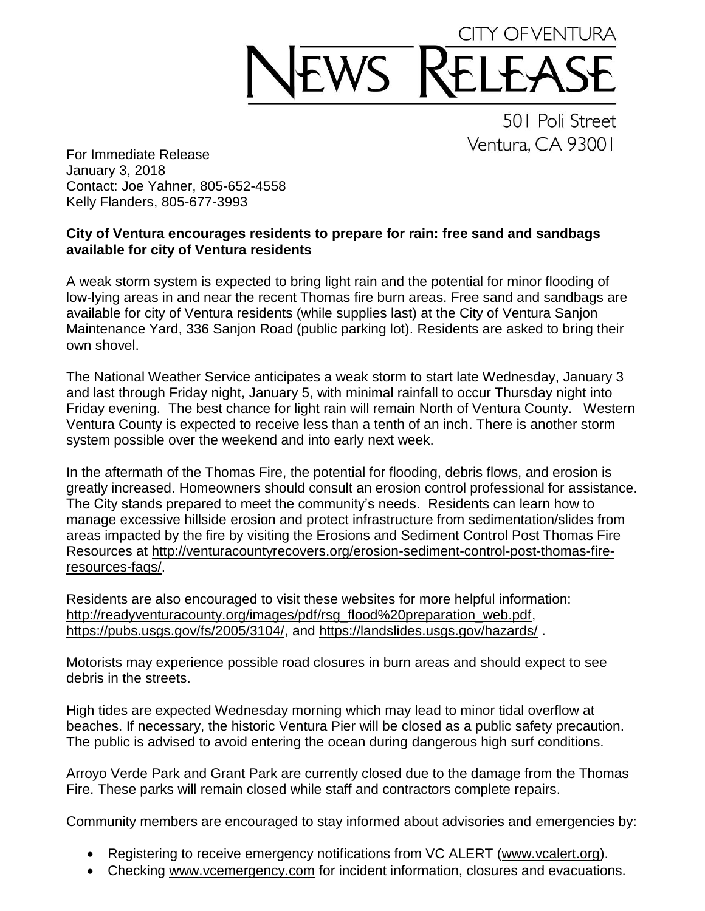## **CITY OF VENTURA** EWS  $R$

501 Poli Street Ventura, CA 93001

For Immediate Release January 3, 2018 Contact: Joe Yahner, 805-652-4558 Kelly Flanders, 805-677-3993

## **City of Ventura encourages residents to prepare for rain: free sand and sandbags available for city of Ventura residents**

A weak storm system is expected to bring light rain and the potential for minor flooding of low-lying areas in and near the recent Thomas fire burn areas. Free sand and sandbags are available for city of Ventura residents (while supplies last) at the City of Ventura Sanjon Maintenance Yard, 336 Sanjon Road (public parking lot). Residents are asked to bring their own shovel.

The National Weather Service anticipates a weak storm to start late Wednesday, January 3 and last through Friday night, January 5, with minimal rainfall to occur Thursday night into Friday evening. The best chance for light rain will remain North of Ventura County. Western Ventura County is expected to receive less than a tenth of an inch. There is another storm system possible over the weekend and into early next week.

In the aftermath of the Thomas Fire, the potential for flooding, debris flows, and erosion is greatly increased. Homeowners should consult an erosion control professional for assistance. The City stands prepared to meet the community's needs. Residents can learn how to manage excessive hillside erosion and protect infrastructure from sedimentation/slides from areas impacted by the fire by visiting the Erosions and Sediment Control Post Thomas Fire Resources at [http://venturacountyrecovers.org/erosion-sediment-control-post-thomas-fire](http://venturacountyrecovers.org/erosion-sediment-control-post-thomas-fire-resources-faqs/)[resources-faqs/.](http://venturacountyrecovers.org/erosion-sediment-control-post-thomas-fire-resources-faqs/)

Residents are also encouraged to visit these websites for more helpful information: [http://readyventuracounty.org/images/pdf/rsg\\_flood%20preparation\\_web.pdf,](http://readyventuracounty.org/images/pdf/rsg_flood%20preparation_web.pdf) [https://pubs.usgs.gov/fs/2005/3104/,](https://pubs.usgs.gov/fs/2005/3104/) and<https://landslides.usgs.gov/hazards/> .

Motorists may experience possible road closures in burn areas and should expect to see debris in the streets.

High tides are expected Wednesday morning which may lead to minor tidal overflow at beaches. If necessary, the historic Ventura Pier will be closed as a public safety precaution. The public is advised to avoid entering the ocean during dangerous high surf conditions.

Arroyo Verde Park and Grant Park are currently closed due to the damage from the Thomas Fire. These parks will remain closed while staff and contractors complete repairs.

Community members are encouraged to stay informed about advisories and emergencies by:

- Registering to receive emergency notifications from VC ALERT [\(www.vcalert.org\)](http://www.vcalert.org/).
- Checking [www.vcemergency.com](http://www.vcemergency.com/) for incident information, closures and evacuations.